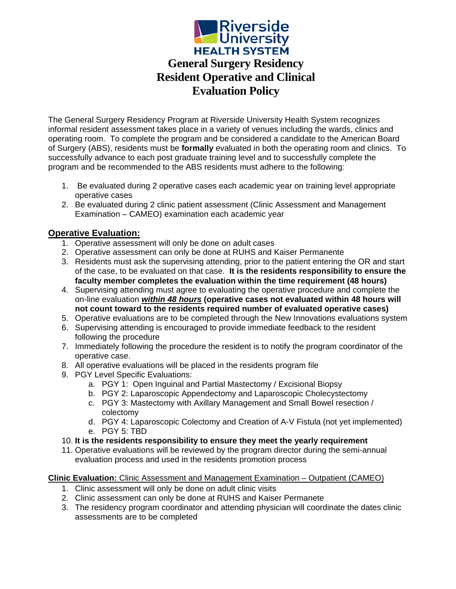

The General Surgery Residency Program at Riverside University Health System recognizes informal resident assessment takes place in a variety of venues including the wards, clinics and operating room. To complete the program and be considered a candidate to the American Board of Surgery (ABS), residents must be **formally** evaluated in both the operating room and clinics. To successfully advance to each post graduate training level and to successfully complete the program and be recommended to the ABS residents must adhere to the following:

- 1. Be evaluated during 2 operative cases each academic year on training level appropriate operative cases
- 2. Be evaluated during 2 clinic patient assessment (Clinic Assessment and Management Examination – CAMEO) examination each academic year

## **Operative Evaluation:**

- 1. Operative assessment will only be done on adult cases
- 2. Operative assessment can only be done at RUHS and Kaiser Permanente
- 3. Residents must ask the supervising attending, prior to the patient entering the OR and start of the case, to be evaluated on that case. **It is the residents responsibility to ensure the faculty member completes the evaluation within the time requirement (48 hours)**
- 4. Supervising attending must agree to evaluating the operative procedure and complete the on-line evaluation *within 48 hours* **(operative cases not evaluated within 48 hours will not count toward to the residents required number of evaluated operative cases)**
- 5. Operative evaluations are to be completed through the New Innovations evaluations system
- 6. Supervising attending is encouraged to provide immediate feedback to the resident following the procedure
- 7. Immediately following the procedure the resident is to notify the program coordinator of the operative case.
- 8. All operative evaluations will be placed in the residents program file
- 9. PGY Level Specific Evaluations:
	- a. PGY 1: Open Inguinal and Partial Mastectomy / Excisional Biopsy
	- b. PGY 2: Laparoscopic Appendectomy and Laparoscopic Cholecystectomy
	- c. PGY 3: Mastectomy with Axillary Management and Small Bowel resection / colectomy
	- d. PGY 4: Laparoscopic Colectomy and Creation of A-V Fistula (not yet implemented) e. PGY 5: TBD
- 10. **It is the residents responsibility to ensure they meet the yearly requirement**
- 11. Operative evaluations will be reviewed by the program director during the semi-annual evaluation process and used in the residents promotion process

## **Clinic Evaluation:** Clinic Assessment and Management Examination – Outpatient (CAMEO)

- 1. Clinic assessment will only be done on adult clinic visits
- 2. Clinic assessment can only be done at RUHS and Kaiser Permanete
- 3. The residency program coordinator and attending physician will coordinate the dates clinic assessments are to be completed